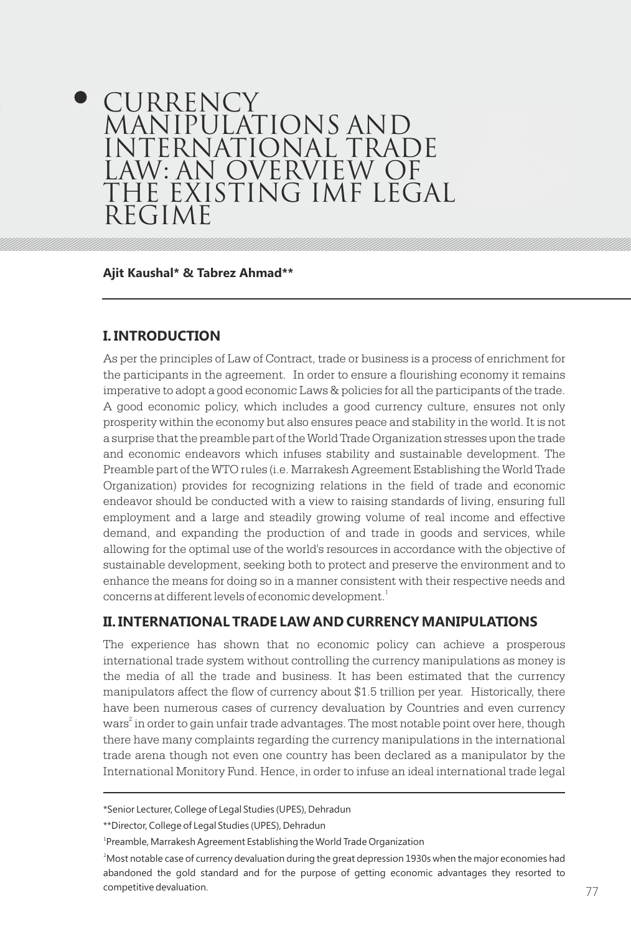# **CURRENCY** MANIPULATIONS AND INTERNATIONAL TRADE LAW: AN OVERVIEW OF THE EXISTING IMF LEGAL REGIME

**Ajit Kaushal\* & Tabrez Ahmad\*\***

# **I. INTRODUCTION**

As per the principles of Law of Contract, trade or business is a process of enrichment for the participants in the agreement. In order to ensure a flourishing economy it remains imperative to adopt a good economic Laws & policies for all the participants of the trade. A good economic policy, which includes a good currency culture, ensures not only prosperity within the economy but also ensures peace and stability in the world. It is not a surprise that the preamble part of the World Trade Organization stresses upon the trade and economic endeavors which infuses stability and sustainable development. The Preamble part of the WTO rules (i.e. Marrakesh Agreement Establishing the World Trade Organization) provides for recognizing relations in the field of trade and economic endeavor should be conducted with a view to raising standards of living, ensuring full employment and a large and steadily growing volume of real income and effective demand, and expanding the production of and trade in goods and services, while allowing for the optimal use of the world's resources in accordance with the objective of sustainable development, seeking both to protect and preserve the environment and to enhance the means for doing so in a manner consistent with their respective needs and concerns at different levels of economic development. $^{\rm 1}$ 

# **II. INTERNATIONAL TRADE LAW AND CURRENCY MANIPULATIONS**

The experience has shown that no economic policy can achieve a prosperous international trade system without controlling the currency manipulations as money is the media of all the trade and business. It has been estimated that the currency manipulators affect the flow of currency about \$1.5 trillion per year. Historically, there have been numerous cases of currency devaluation by Countries and even currency wars<sup>2</sup> in order to gain unfair trade advantages. The most notable point over here, though there have many complaints regarding the currency manipulations in the international trade arena though not even one country has been declared as a manipulator by the International Monitory Fund. Hence, in order to infuse an ideal international trade legal

<sup>\*</sup>Senior Lecturer, College of Legal Studies (UPES), Dehradun

<sup>\*\*</sup>Director, College of Legal Studies (UPES), Dehradun

<sup>&</sup>lt;sup>1</sup>Preamble, Marrakesh Agreement Establishing the World Trade Organization

competitive devaluation. The contract of the contract of the contract of the contract of the contract of the contract of the contract of the contract of the contract of the contract of the contract of the contract of the c <sup>2</sup>Most notable case of currency devaluation during the great depression 1930s when the major economies had abandoned the gold standard and for the purpose of getting economic advantages they resorted to competitive devaluation.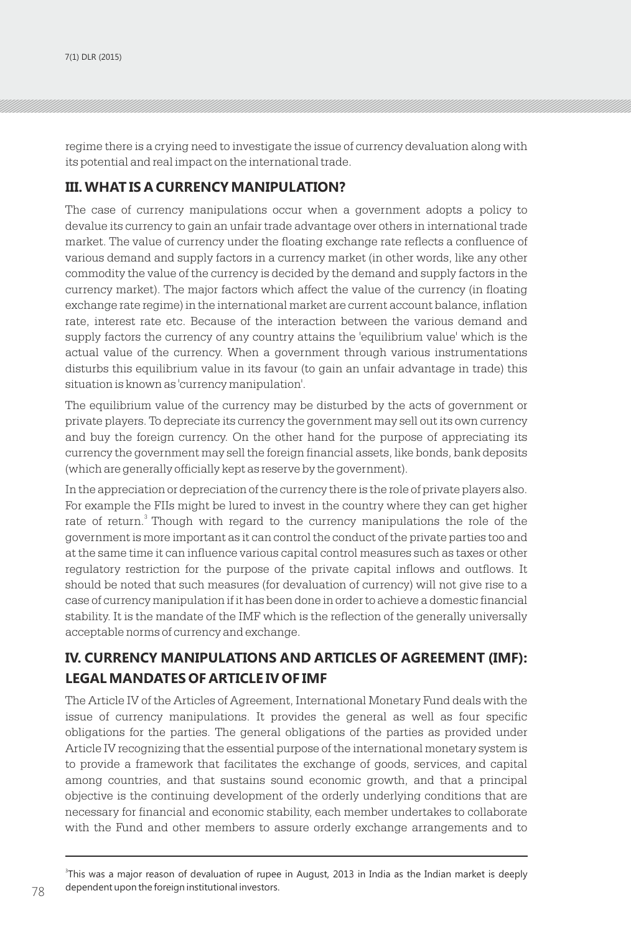regime there is a crying need to investigate the issue of currency devaluation along with its potential and real impact on the international trade.

# **III. WHAT IS A CURRENCY MANIPULATION?**

The case of currency manipulations occur when a government adopts a policy to devalue its currency to gain an unfair trade advantage over others in international trade market. The value of currency under the floating exchange rate reflects a confluence of various demand and supply factors in a currency market (in other words, like any other commodity the value of the currency is decided by the demand and supply factors in the currency market). The major factors which affect the value of the currency (in floating exchange rate regime) in the international market are current account balance, inflation rate, interest rate etc. Because of the interaction between the various demand and supply factors the currency of any country attains the 'equilibrium value' which is the actual value of the currency. When a government through various instrumentations disturbs this equilibrium value in its favour (to gain an unfair advantage in trade) this situation is known as 'currency manipulation'.

The equilibrium value of the currency may be disturbed by the acts of government or private players. To depreciate its currency the government may sell out its own currency and buy the foreign currency. On the other hand for the purpose of appreciating its currency the government may sell the foreign financial assets, like bonds, bank deposits (which are generally officially kept as reserve by the government).

In the appreciation or depreciation of the currency there is the role of private players also. For example the FIIs might be lured to invest in the country where they can get higher rate of return.<sup>3</sup> Though with regard to the currency manipulations the role of the government is more important as it can control the conduct of the private parties too and at the same time it can influence various capital control measures such as taxes or other regulatory restriction for the purpose of the private capital inflows and outflows. It should be noted that such measures (for devaluation of currency) will not give rise to a case of currency manipulation if it has been done in order to achieve a domestic financial stability. It is the mandate of the IMF which is the reflection of the generally universally acceptable norms of currency and exchange.

# **IV. CURRENCY MANIPULATIONS AND ARTICLES OF AGREEMENT (IMF): LEGAL MANDATES OF ARTICLE IV OF IMF**

The Article IV of the Articles of Agreement, International Monetary Fund deals with the issue of currency manipulations. It provides the general as well as four specific obligations for the parties. The general obligations of the parties as provided under Article IV recognizing that the essential purpose of the international monetary system is to provide a framework that facilitates the exchange of goods, services, and capital among countries, and that sustains sound economic growth, and that a principal objective is the continuing development of the orderly underlying conditions that are necessary for financial and economic stability, each member undertakes to collaborate with the Fund and other members to assure orderly exchange arrangements and to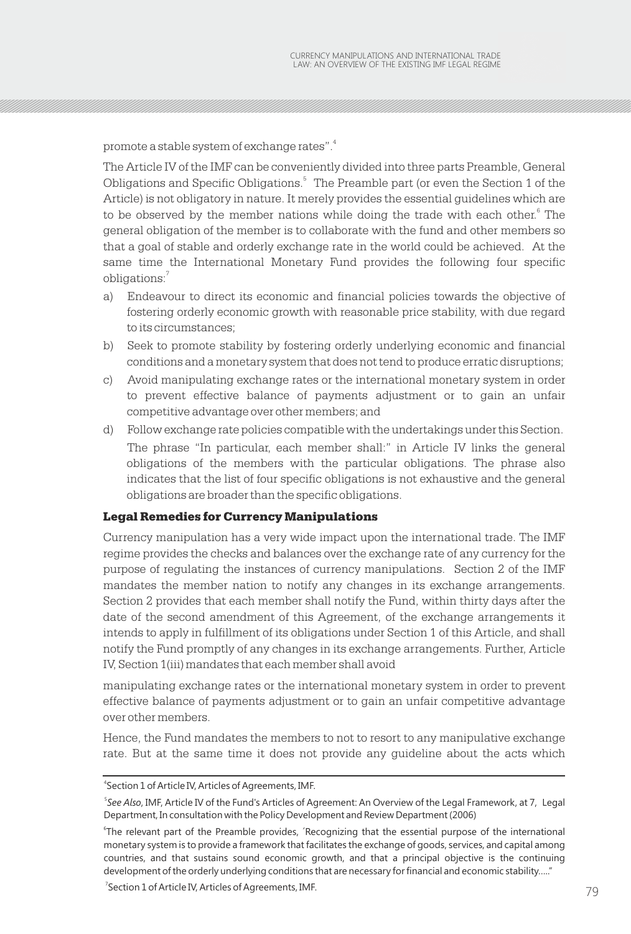4 promote a stable system of exchange rates".

The Article IV of the IMF can be conveniently divided into three parts Preamble, General <sup>5</sup> Obligations and Specific Obligations. The Preamble part (or even the Section 1 of the Article) is not obligatory in nature. It merely provides the essential guidelines which are to be observed by the member nations while doing the trade with each other.<sup>6</sup> The general obligation of the member is to collaborate with the fund and other members so that a goal of stable and orderly exchange rate in the world could be achieved. At the same time the International Monetary Fund provides the following four specific 7 obligations:

- a) Endeavour to direct its economic and financial policies towards the objective of fostering orderly economic growth with reasonable price stability, with due regard to its circumstances;
- b) Seek to promote stability by fostering orderly underlying economic and financial conditions and a monetary system that does not tend to produce erratic disruptions;
- c) Avoid manipulating exchange rates or the international monetary system in order to prevent effective balance of payments adjustment or to gain an unfair competitive advantage over other members; and
- d) Follow exchange rate policies compatible with the undertakings under this Section. The phrase "In particular, each member shall:" in Article IV links the general obligations of the members with the particular obligations. The phrase also indicates that the list of four specific obligations is not exhaustive and the general obligations are broader than the specific obligations.

#### Legal Remedies for Currency Manipulations

Currency manipulation has a very wide impact upon the international trade. The IMF regime provides the checks and balances over the exchange rate of any currency for the purpose of regulating the instances of currency manipulations. Section 2 of the IMF mandates the member nation to notify any changes in its exchange arrangements. Section 2 provides that each member shall notify the Fund, within thirty days after the date of the second amendment of this Agreement, of the exchange arrangements it intends to apply in fulfillment of its obligations under Section 1 of this Article, and shall notify the Fund promptly of any changes in its exchange arrangements. Further, Article IV, Section 1(iii) mandates that each member shall avoid

manipulating exchange rates or the international monetary system in order to prevent effective balance of payments adjustment or to gain an unfair competitive advantage over other members.

Hence, the Fund mandates the members to not to resort to any manipulative exchange rate. But at the same time it does not provide any guideline about the acts which

<sup>4</sup> Section 1 of Article IV, Articles of Agreements, IMF.

<sup>5</sup> *See Also*, IMF, Article IV of the Fund's Articles of Agreement: An Overview of the Legal Framework, at 7, Legal Department, In consultation with the Policy Development and Review Department (2006)

<sup>6</sup> The relevant part of the Preamble provides, ´Recognizing that the essential purpose of the international monetary system is to provide a framework that facilitates the exchange of goods, services, and capital among countries, and that sustains sound economic growth, and that a principal objective is the continuing development of the orderly underlying conditions that are necessary for financial and economic stability….."